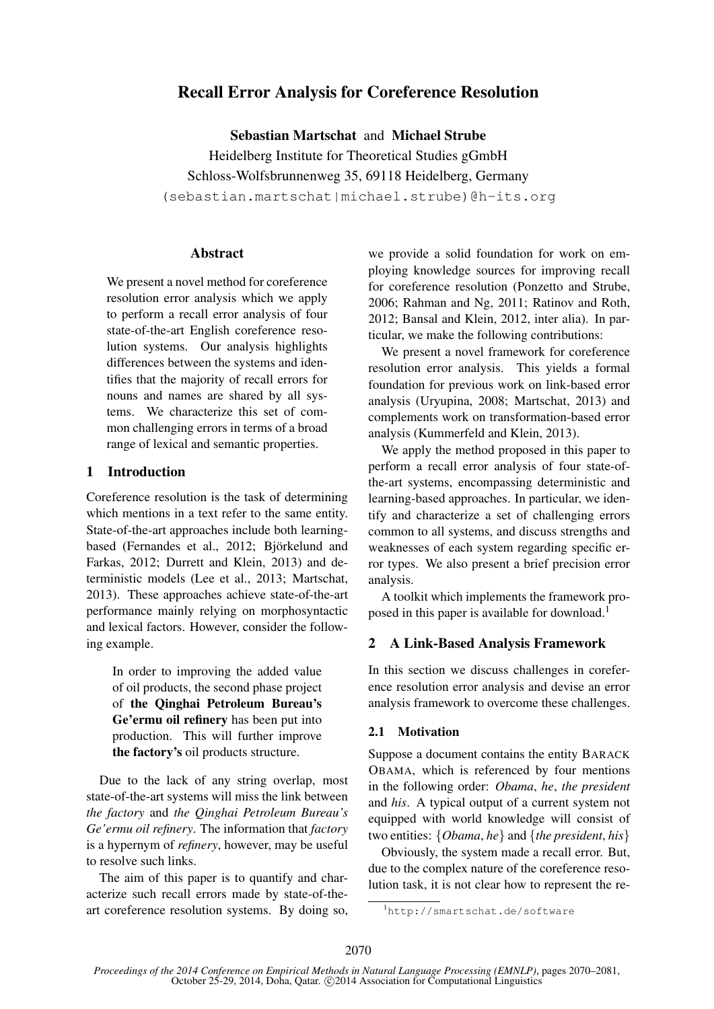# Recall Error Analysis for Coreference Resolution

Sebastian Martschat and Michael Strube Heidelberg Institute for Theoretical Studies gGmbH Schloss-Wolfsbrunnenweg 35, 69118 Heidelberg, Germany (sebastian.martschat|michael.strube)@h-its.org

## **Abstract**

We present a novel method for coreference resolution error analysis which we apply to perform a recall error analysis of four state-of-the-art English coreference resolution systems. Our analysis highlights differences between the systems and identifies that the majority of recall errors for nouns and names are shared by all systems. We characterize this set of common challenging errors in terms of a broad range of lexical and semantic properties.

# 1 Introduction

Coreference resolution is the task of determining which mentions in a text refer to the same entity. State-of-the-art approaches include both learningbased (Fernandes et al., 2012; Björkelund and Farkas, 2012; Durrett and Klein, 2013) and deterministic models (Lee et al., 2013; Martschat, 2013). These approaches achieve state-of-the-art performance mainly relying on morphosyntactic and lexical factors. However, consider the following example.

In order to improving the added value of oil products, the second phase project of the Qinghai Petroleum Bureau's Ge'ermu oil refinery has been put into production. This will further improve the factory's oil products structure.

Due to the lack of any string overlap, most state-of-the-art systems will miss the link between *the factory* and *the Qinghai Petroleum Bureau's Ge'ermu oil refinery*. The information that *factory* is a hypernym of *refinery*, however, may be useful to resolve such links.

The aim of this paper is to quantify and characterize such recall errors made by state-of-theart coreference resolution systems. By doing so,

we provide a solid foundation for work on employing knowledge sources for improving recall for coreference resolution (Ponzetto and Strube, 2006; Rahman and Ng, 2011; Ratinov and Roth, 2012; Bansal and Klein, 2012, inter alia). In particular, we make the following contributions:

We present a novel framework for coreference resolution error analysis. This yields a formal foundation for previous work on link-based error analysis (Uryupina, 2008; Martschat, 2013) and complements work on transformation-based error analysis (Kummerfeld and Klein, 2013).

We apply the method proposed in this paper to perform a recall error analysis of four state-ofthe-art systems, encompassing deterministic and learning-based approaches. In particular, we identify and characterize a set of challenging errors common to all systems, and discuss strengths and weaknesses of each system regarding specific error types. We also present a brief precision error analysis.

A toolkit which implements the framework proposed in this paper is available for download.<sup>1</sup>

# 2 A Link-Based Analysis Framework

In this section we discuss challenges in coreference resolution error analysis and devise an error analysis framework to overcome these challenges.

# 2.1 Motivation

Suppose a document contains the entity BARACK OBAMA, which is referenced by four mentions in the following order: *Obama*, *he*, *the president* and *his*. A typical output of a current system not equipped with world knowledge will consist of two entities: {*Obama*, *he*} and {*the president*, *his*}

Obviously, the system made a recall error. But, due to the complex nature of the coreference resolution task, it is not clear how to represent the re-

<sup>1</sup>http://smartschat.de/software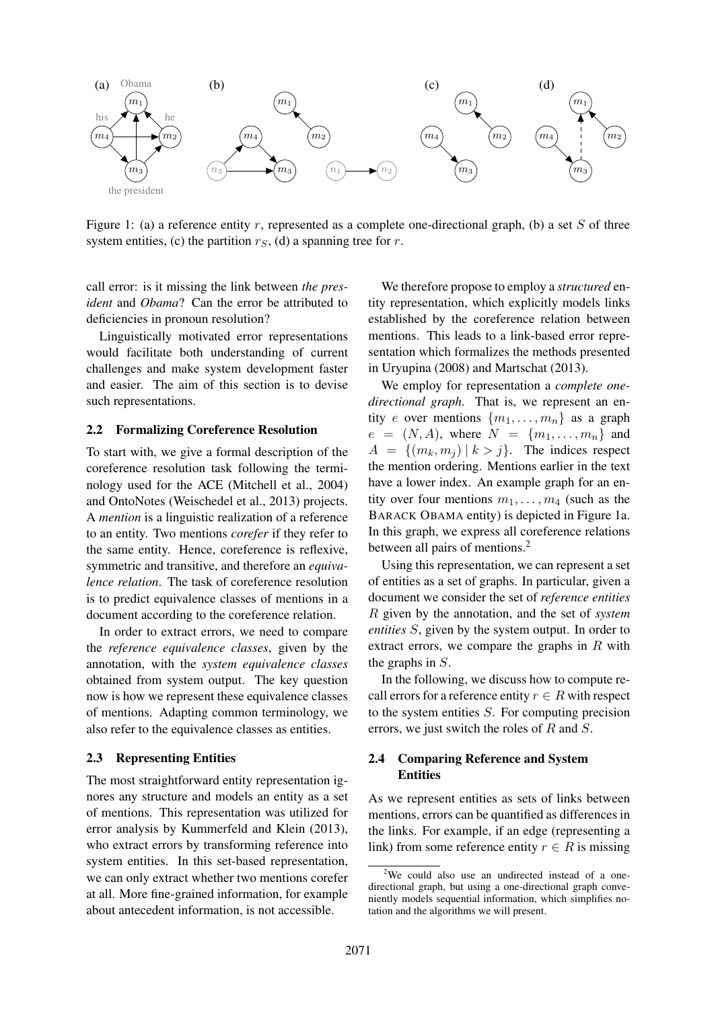

Figure 1: (a) a reference entity r, represented as a complete one-directional graph, (b) a set S of three system entities, (c) the partition  $r<sub>S</sub>$ , (d) a spanning tree for r.

call error: is it missing the link between *the president* and *Obama*? Can the error be attributed to deficiencies in pronoun resolution?

Linguistically motivated error representations would facilitate both understanding of current challenges and make system development faster and easier. The aim of this section is to devise such representations.

#### 2.2 Formalizing Coreference Resolution

To start with, we give a formal description of the coreference resolution task following the terminology used for the ACE (Mitchell et al., 2004) and OntoNotes (Weischedel et al., 2013) projects. A *mention* is a linguistic realization of a reference to an entity. Two mentions *corefer* if they refer to the same entity. Hence, coreference is reflexive, symmetric and transitive, and therefore an *equivalence relation*. The task of coreference resolution is to predict equivalence classes of mentions in a document according to the coreference relation.

In order to extract errors, we need to compare the *reference equivalence classes*, given by the annotation, with the *system equivalence classes* obtained from system output. The key question now is how we represent these equivalence classes of mentions. Adapting common terminology, we also refer to the equivalence classes as entities.

#### 2.3 Representing Entities

The most straightforward entity representation ignores any structure and models an entity as a set of mentions. This representation was utilized for error analysis by Kummerfeld and Klein (2013), who extract errors by transforming reference into system entities. In this set-based representation, we can only extract whether two mentions corefer at all. More fine-grained information, for example about antecedent information, is not accessible.

We therefore propose to employ a *structured* entity representation, which explicitly models links established by the coreference relation between mentions. This leads to a link-based error representation which formalizes the methods presented in Uryupina (2008) and Martschat (2013).

We employ for representation a *complete onedirectional graph*. That is, we represent an entity e over mentions  $\{m_1, \ldots, m_n\}$  as a graph  $e = (N, A)$ , where  $N = \{m_1, \ldots, m_n\}$  and  $A = \{(m_k, m_j) | k > j\}.$  The indices respect the mention ordering. Mentions earlier in the text have a lower index. An example graph for an entity over four mentions  $m_1, \ldots, m_4$  (such as the BARACK OBAMA entity) is depicted in Figure 1a. In this graph, we express all coreference relations between all pairs of mentions.<sup>2</sup>

Using this representation, we can represent a set of entities as a set of graphs. In particular, given a document we consider the set of *reference entities* R given by the annotation, and the set of *system entities* S, given by the system output. In order to extract errors, we compare the graphs in  $R$  with the graphs in S.

In the following, we discuss how to compute recall errors for a reference entity  $r \in R$  with respect to the system entities  $S$ . For computing precision errors, we just switch the roles of R and S.

## 2.4 Comparing Reference and System **Entities**

As we represent entities as sets of links between mentions, errors can be quantified as differences in the links. For example, if an edge (representing a link) from some reference entity  $r \in R$  is missing

<sup>&</sup>lt;sup>2</sup>We could also use an undirected instead of a onedirectional graph, but using a one-directional graph conveniently models sequential information, which simplifies notation and the algorithms we will present.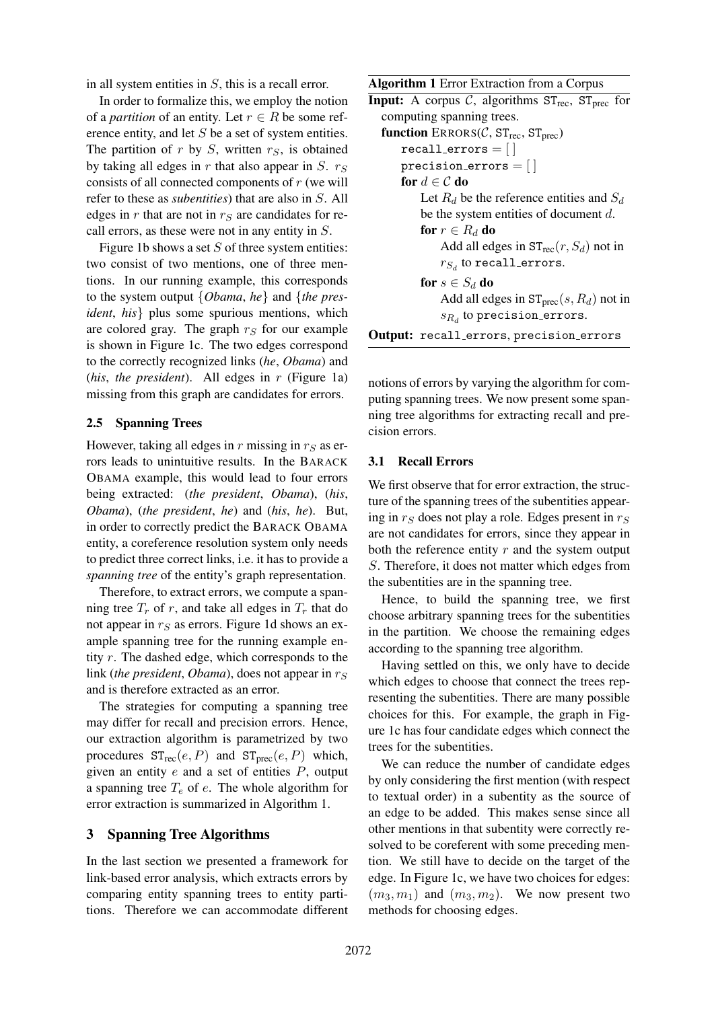in all system entities in S, this is a recall error.

In order to formalize this, we employ the notion of a *partition* of an entity. Let  $r \in R$  be some reference entity, and let S be a set of system entities. The partition of  $r$  by  $S$ , written  $r<sub>S</sub>$ , is obtained by taking all edges in r that also appear in S.  $r<sub>S</sub>$ consists of all connected components of  $r$  (we will refer to these as *subentities*) that are also in S. All edges in  $r$  that are not in  $r<sub>S</sub>$  are candidates for recall errors, as these were not in any entity in S.

Figure 1b shows a set  $S$  of three system entities: two consist of two mentions, one of three mentions. In our running example, this corresponds to the system output {*Obama*, *he*} and {*the president*, *his*} plus some spurious mentions, which are colored gray. The graph  $r_S$  for our example is shown in Figure 1c. The two edges correspond to the correctly recognized links (*he*, *Obama*) and (*his*, *the president*). All edges in r (Figure 1a) missing from this graph are candidates for errors.

## 2.5 Spanning Trees

However, taking all edges in  $r$  missing in  $r_S$  as errors leads to unintuitive results. In the BARACK OBAMA example, this would lead to four errors being extracted: (*the president*, *Obama*), (*his*, *Obama*), (*the president*, *he*) and (*his*, *he*). But, in order to correctly predict the BARACK OBAMA entity, a coreference resolution system only needs to predict three correct links, i.e. it has to provide a *spanning tree* of the entity's graph representation.

Therefore, to extract errors, we compute a spanning tree  $T_r$  of r, and take all edges in  $T_r$  that do not appear in  $r<sub>S</sub>$  as errors. Figure 1d shows an example spanning tree for the running example entity r. The dashed edge, which corresponds to the link (*the president*, *Obama*), does not appear in  $r<sub>S</sub>$ and is therefore extracted as an error.

The strategies for computing a spanning tree may differ for recall and precision errors. Hence, our extraction algorithm is parametrized by two procedures  $ST_{rec}(e, P)$  and  $ST_{prec}(e, P)$  which, given an entity  $e$  and a set of entities  $P$ , output a spanning tree  $T_e$  of  $e$ . The whole algorithm for error extraction is summarized in Algorithm 1.

## 3 Spanning Tree Algorithms

In the last section we presented a framework for link-based error analysis, which extracts errors by comparing entity spanning trees to entity partitions. Therefore we can accommodate different

Algorithm 1 Error Extraction from a Corpus

```
Input: A corpus C, algorithms ST_{rec}, ST_{prec} for
  computing spanning trees.
  function \text{ERRORS}(\mathcal{C}, \text{ST}_{\text{rec}}, \text{ST}_{\text{prec}})recall_error = []precision errors = [ ]for d \in \mathcal{C} do
            Let R_d be the reference entities and S_dbe the system entities of document d.
            for r \in R_d do
                Add all edges in ST_{rec}(r, S_d) not in
                r_{S_d} to recall_errors.
           for s \in S_d do
                Add all edges in ST<sub>prec</sub>(s, R<sub>d</sub>) not in
                \mathfrak{s}_{R_d} to precision errors.
Output: recall errors, precision errors
```
notions of errors by varying the algorithm for computing spanning trees. We now present some spanning tree algorithms for extracting recall and pre-

#### 3.1 Recall Errors

cision errors.

We first observe that for error extraction, the structure of the spanning trees of the subentities appearing in  $r<sub>S</sub>$  does not play a role. Edges present in  $r<sub>S</sub>$ are not candidates for errors, since they appear in both the reference entity  $r$  and the system output S. Therefore, it does not matter which edges from the subentities are in the spanning tree.

Hence, to build the spanning tree, we first choose arbitrary spanning trees for the subentities in the partition. We choose the remaining edges according to the spanning tree algorithm.

Having settled on this, we only have to decide which edges to choose that connect the trees representing the subentities. There are many possible choices for this. For example, the graph in Figure 1c has four candidate edges which connect the trees for the subentities.

We can reduce the number of candidate edges by only considering the first mention (with respect to textual order) in a subentity as the source of an edge to be added. This makes sense since all other mentions in that subentity were correctly resolved to be coreferent with some preceding mention. We still have to decide on the target of the edge. In Figure 1c, we have two choices for edges:  $(m_3, m_1)$  and  $(m_3, m_2)$ . We now present two methods for choosing edges.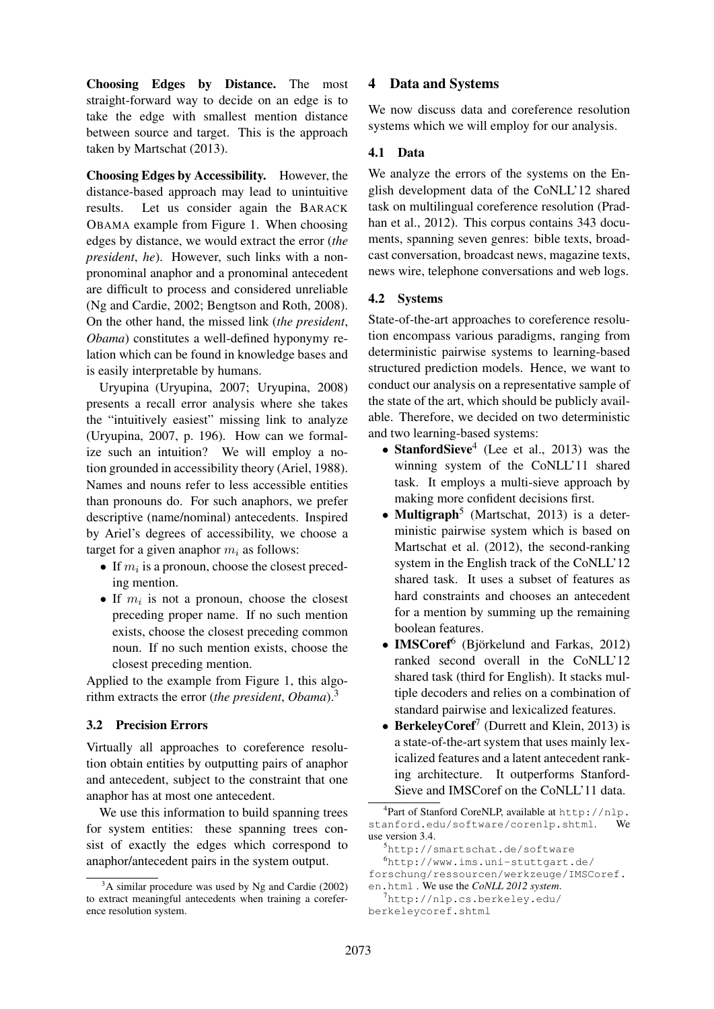Choosing Edges by Distance. The most straight-forward way to decide on an edge is to take the edge with smallest mention distance between source and target. This is the approach taken by Martschat (2013).

Choosing Edges by Accessibility. However, the distance-based approach may lead to unintuitive results. Let us consider again the BARACK OBAMA example from Figure 1. When choosing edges by distance, we would extract the error (*the president*, *he*). However, such links with a nonpronominal anaphor and a pronominal antecedent are difficult to process and considered unreliable (Ng and Cardie, 2002; Bengtson and Roth, 2008). On the other hand, the missed link (*the president*, *Obama*) constitutes a well-defined hyponymy relation which can be found in knowledge bases and is easily interpretable by humans.

Uryupina (Uryupina, 2007; Uryupina, 2008) presents a recall error analysis where she takes the "intuitively easiest" missing link to analyze (Uryupina, 2007, p. 196). How can we formalize such an intuition? We will employ a notion grounded in accessibility theory (Ariel, 1988). Names and nouns refer to less accessible entities than pronouns do. For such anaphors, we prefer descriptive (name/nominal) antecedents. Inspired by Ariel's degrees of accessibility, we choose a target for a given anaphor  $m_i$  as follows:

- If  $m_i$  is a pronoun, choose the closest preceding mention.
- If  $m_i$  is not a pronoun, choose the closest preceding proper name. If no such mention exists, choose the closest preceding common noun. If no such mention exists, choose the closest preceding mention.

Applied to the example from Figure 1, this algorithm extracts the error (*the president*, *Obama*).<sup>3</sup>

# 3.2 Precision Errors

Virtually all approaches to coreference resolution obtain entities by outputting pairs of anaphor and antecedent, subject to the constraint that one anaphor has at most one antecedent.

We use this information to build spanning trees for system entities: these spanning trees consist of exactly the edges which correspond to anaphor/antecedent pairs in the system output.

# 4 Data and Systems

We now discuss data and coreference resolution systems which we will employ for our analysis.

# 4.1 Data

We analyze the errors of the systems on the English development data of the CoNLL'12 shared task on multilingual coreference resolution (Pradhan et al., 2012). This corpus contains 343 documents, spanning seven genres: bible texts, broadcast conversation, broadcast news, magazine texts, news wire, telephone conversations and web logs.

# 4.2 Systems

State-of-the-art approaches to coreference resolution encompass various paradigms, ranging from deterministic pairwise systems to learning-based structured prediction models. Hence, we want to conduct our analysis on a representative sample of the state of the art, which should be publicly available. Therefore, we decided on two deterministic and two learning-based systems:

- StanfordSieve<sup>4</sup> (Lee et al., 2013) was the winning system of the CoNLL'11 shared task. It employs a multi-sieve approach by making more confident decisions first.
- Multigraph<sup>5</sup> (Martschat, 2013) is a deterministic pairwise system which is based on Martschat et al. (2012), the second-ranking system in the English track of the CoNLL'12 shared task. It uses a subset of features as hard constraints and chooses an antecedent for a mention by summing up the remaining boolean features.
- IMSCoref<sup>6</sup> (Björkelund and Farkas, 2012) ranked second overall in the CoNLL'12 shared task (third for English). It stacks multiple decoders and relies on a combination of standard pairwise and lexicalized features.
- BerkeleyCoref<sup>7</sup> (Durrett and Klein, 2013) is a state-of-the-art system that uses mainly lexicalized features and a latent antecedent ranking architecture. It outperforms Stanford-Sieve and IMSCoref on the CoNLL'11 data.

 $3^3$ A similar procedure was used by Ng and Cardie (2002) to extract meaningful antecedents when training a coreference resolution system.

<sup>4</sup> Part of Stanford CoreNLP, available at http://nlp. stanford.edu/software/corenlp.shtml. We use version 3.4.

<sup>5</sup>http://smartschat.de/software

<sup>6</sup>http://www.ims.uni-stuttgart.de/ forschung/ressourcen/werkzeuge/IMSCoref.

en.html . We use the *CoNLL 2012 system*. <sup>7</sup>http://nlp.cs.berkeley.edu/

berkeleycoref.shtml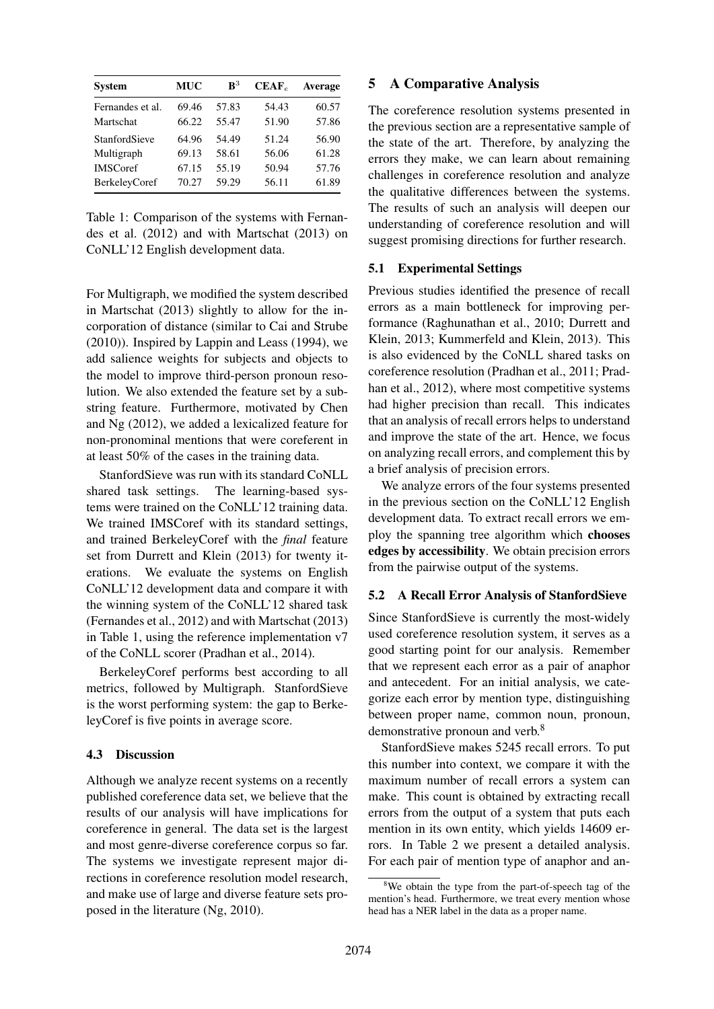| <b>System</b>        | <b>MUC</b> | ${\bf R}^3$ | $CEAF_e$ | Average |
|----------------------|------------|-------------|----------|---------|
| Fernandes et al.     | 69.46      | 57.83       | 54.43    | 60.57   |
| Martschat            | 66.22      | 55.47       | 51.90    | 57.86   |
| StanfordSieve        | 64.96      | 54.49       | 51.24    | 56.90   |
| Multigraph           | 69.13      | 58.61       | 56.06    | 61.28   |
| <b>IMSCoref</b>      | 67.15      | 55.19       | 50.94    | 57.76   |
| <b>BerkeleyCoref</b> | 70.27      | 59.29       | 56.11    | 61.89   |

Table 1: Comparison of the systems with Fernandes et al. (2012) and with Martschat (2013) on CoNLL'12 English development data.

For Multigraph, we modified the system described in Martschat (2013) slightly to allow for the incorporation of distance (similar to Cai and Strube (2010)). Inspired by Lappin and Leass (1994), we add salience weights for subjects and objects to the model to improve third-person pronoun resolution. We also extended the feature set by a substring feature. Furthermore, motivated by Chen and Ng (2012), we added a lexicalized feature for non-pronominal mentions that were coreferent in at least 50% of the cases in the training data.

StanfordSieve was run with its standard CoNLL shared task settings. The learning-based systems were trained on the CoNLL'12 training data. We trained IMSCoref with its standard settings, and trained BerkeleyCoref with the *final* feature set from Durrett and Klein (2013) for twenty iterations. We evaluate the systems on English CoNLL'12 development data and compare it with the winning system of the CoNLL'12 shared task (Fernandes et al., 2012) and with Martschat (2013) in Table 1, using the reference implementation v7 of the CoNLL scorer (Pradhan et al., 2014).

BerkeleyCoref performs best according to all metrics, followed by Multigraph. StanfordSieve is the worst performing system: the gap to BerkeleyCoref is five points in average score.

## 4.3 Discussion

Although we analyze recent systems on a recently published coreference data set, we believe that the results of our analysis will have implications for coreference in general. The data set is the largest and most genre-diverse coreference corpus so far. The systems we investigate represent major directions in coreference resolution model research, and make use of large and diverse feature sets proposed in the literature (Ng, 2010).

## 5 A Comparative Analysis

The coreference resolution systems presented in the previous section are a representative sample of the state of the art. Therefore, by analyzing the errors they make, we can learn about remaining challenges in coreference resolution and analyze the qualitative differences between the systems. The results of such an analysis will deepen our understanding of coreference resolution and will suggest promising directions for further research.

#### 5.1 Experimental Settings

Previous studies identified the presence of recall errors as a main bottleneck for improving performance (Raghunathan et al., 2010; Durrett and Klein, 2013; Kummerfeld and Klein, 2013). This is also evidenced by the CoNLL shared tasks on coreference resolution (Pradhan et al., 2011; Pradhan et al., 2012), where most competitive systems had higher precision than recall. This indicates that an analysis of recall errors helps to understand and improve the state of the art. Hence, we focus on analyzing recall errors, and complement this by a brief analysis of precision errors.

We analyze errors of the four systems presented in the previous section on the CoNLL'12 English development data. To extract recall errors we employ the spanning tree algorithm which chooses edges by accessibility. We obtain precision errors from the pairwise output of the systems.

## 5.2 A Recall Error Analysis of StanfordSieve

Since StanfordSieve is currently the most-widely used coreference resolution system, it serves as a good starting point for our analysis. Remember that we represent each error as a pair of anaphor and antecedent. For an initial analysis, we categorize each error by mention type, distinguishing between proper name, common noun, pronoun, demonstrative pronoun and verb.<sup>8</sup>

StanfordSieve makes 5245 recall errors. To put this number into context, we compare it with the maximum number of recall errors a system can make. This count is obtained by extracting recall errors from the output of a system that puts each mention in its own entity, which yields 14609 errors. In Table 2 we present a detailed analysis. For each pair of mention type of anaphor and an-

<sup>&</sup>lt;sup>8</sup>We obtain the type from the part-of-speech tag of the mention's head. Furthermore, we treat every mention whose head has a NER label in the data as a proper name.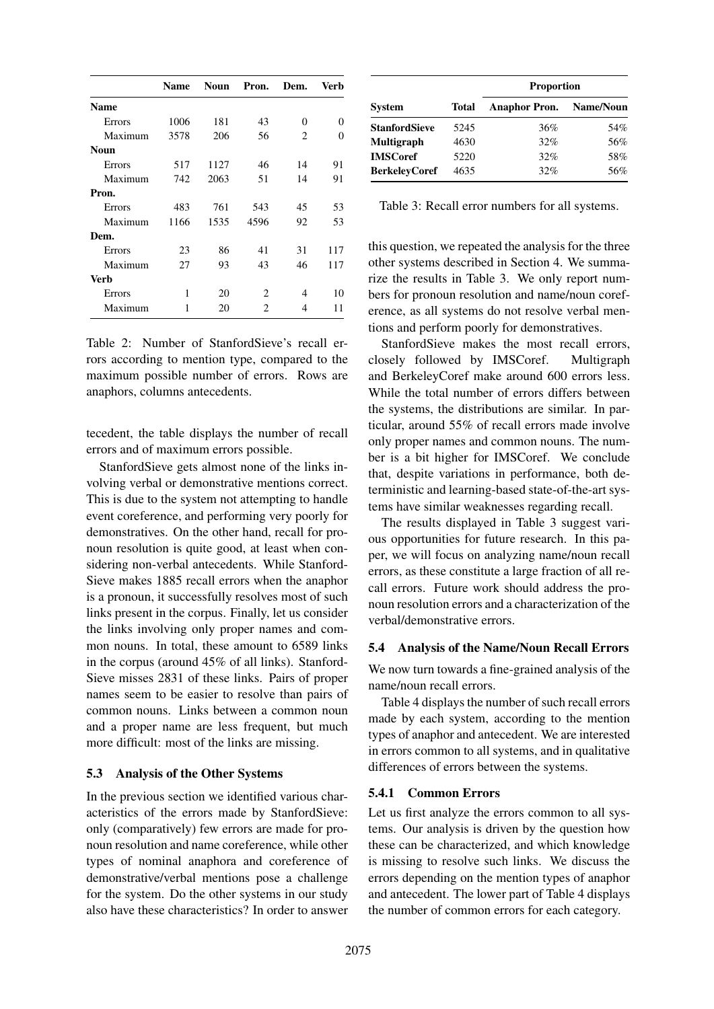|               | <b>Name</b> | <b>Noun</b> | Pron. | Dem.           | Verb |
|---------------|-------------|-------------|-------|----------------|------|
| <b>Name</b>   |             |             |       |                |      |
| <b>Errors</b> | 1006        | 181         | 43    | $\Omega$       | 0    |
| Maximum       | 3578        | 206         | 56    | $\overline{2}$ | 0    |
| <b>Noun</b>   |             |             |       |                |      |
| Errors        | 517         | 1127        | 46    | 14             | 91   |
| Maximum       | 742         | 2063        | 51    | 14             | 91   |
| Pron.         |             |             |       |                |      |
| Errors        | 483         | 761         | 543   | 45             | 53   |
| Maximum       | 1166        | 1535        | 4596  | 92             | 53   |
| Dem.          |             |             |       |                |      |
| Errors        | 23          | 86          | 41    | 31             | 117  |
| Maximum       | 27          | 93          | 43    | 46             | 117  |
| Verb          |             |             |       |                |      |
| Errors        | 1           | 20          | 2     | 4              | 10   |
| Maximum       | 1           | 20          | 2     | 4              | 11   |

Table 2: Number of StanfordSieve's recall errors according to mention type, compared to the maximum possible number of errors. Rows are anaphors, columns antecedents.

tecedent, the table displays the number of recall errors and of maximum errors possible.

StanfordSieve gets almost none of the links involving verbal or demonstrative mentions correct. This is due to the system not attempting to handle event coreference, and performing very poorly for demonstratives. On the other hand, recall for pronoun resolution is quite good, at least when considering non-verbal antecedents. While Stanford-Sieve makes 1885 recall errors when the anaphor is a pronoun, it successfully resolves most of such links present in the corpus. Finally, let us consider the links involving only proper names and common nouns. In total, these amount to 6589 links in the corpus (around 45% of all links). Stanford-Sieve misses 2831 of these links. Pairs of proper names seem to be easier to resolve than pairs of common nouns. Links between a common noun and a proper name are less frequent, but much more difficult: most of the links are missing.

## 5.3 Analysis of the Other Systems

In the previous section we identified various characteristics of the errors made by StanfordSieve: only (comparatively) few errors are made for pronoun resolution and name coreference, while other types of nominal anaphora and coreference of demonstrative/verbal mentions pose a challenge for the system. Do the other systems in our study also have these characteristics? In order to answer

|                      |       | <b>Proportion</b>    |           |  |  |  |
|----------------------|-------|----------------------|-----------|--|--|--|
| <b>System</b>        | Total | <b>Anaphor Pron.</b> | Name/Noun |  |  |  |
| <b>StanfordSieve</b> | 5245  | 36%                  | 54%       |  |  |  |
| <b>Multigraph</b>    | 4630  | 32%                  | 56%       |  |  |  |
| <b>IMSCoref</b>      | 5220  | 32%                  | 58%       |  |  |  |
| <b>BerkeleyCoref</b> | 4635  | 32%                  | 56%       |  |  |  |

Table 3: Recall error numbers for all systems.

this question, we repeated the analysis for the three other systems described in Section 4. We summarize the results in Table 3. We only report numbers for pronoun resolution and name/noun coreference, as all systems do not resolve verbal mentions and perform poorly for demonstratives.

StanfordSieve makes the most recall errors, closely followed by IMSCoref. Multigraph and BerkeleyCoref make around 600 errors less. While the total number of errors differs between the systems, the distributions are similar. In particular, around 55% of recall errors made involve only proper names and common nouns. The number is a bit higher for IMSCoref. We conclude that, despite variations in performance, both deterministic and learning-based state-of-the-art systems have similar weaknesses regarding recall.

The results displayed in Table 3 suggest various opportunities for future research. In this paper, we will focus on analyzing name/noun recall errors, as these constitute a large fraction of all recall errors. Future work should address the pronoun resolution errors and a characterization of the verbal/demonstrative errors.

## 5.4 Analysis of the Name/Noun Recall Errors

We now turn towards a fine-grained analysis of the name/noun recall errors.

Table 4 displays the number of such recall errors made by each system, according to the mention types of anaphor and antecedent. We are interested in errors common to all systems, and in qualitative differences of errors between the systems.

#### 5.4.1 Common Errors

Let us first analyze the errors common to all systems. Our analysis is driven by the question how these can be characterized, and which knowledge is missing to resolve such links. We discuss the errors depending on the mention types of anaphor and antecedent. The lower part of Table 4 displays the number of common errors for each category.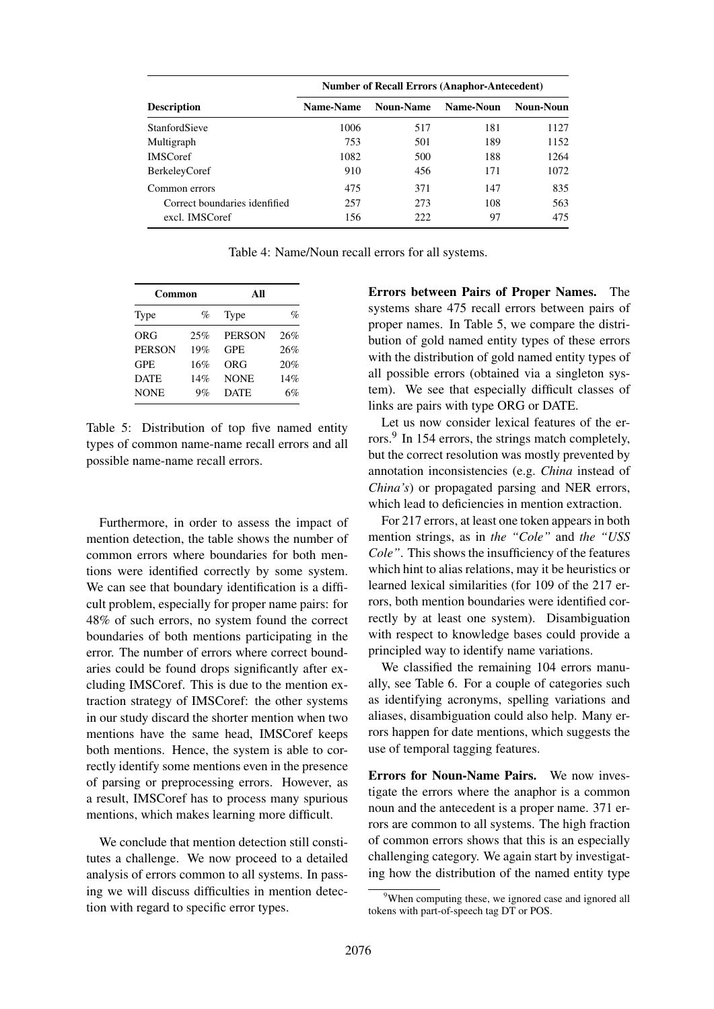|                               | <b>Number of Recall Errors (Anaphor-Antecedent)</b> |                  |           |           |  |  |  |
|-------------------------------|-----------------------------------------------------|------------------|-----------|-----------|--|--|--|
| <b>Description</b>            | Name-Name                                           | <b>Noun-Name</b> | Name-Noun | Noun-Noun |  |  |  |
| <b>StanfordSieve</b>          | 1006                                                | 517              | 181       | 1127      |  |  |  |
| Multigraph                    | 753                                                 | 501              | 189       | 1152      |  |  |  |
| <b>IMSCoref</b>               | 1082                                                | 500              | 188       | 1264      |  |  |  |
| <b>BerkeleyCoref</b>          | 910                                                 | 456              | 171       | 1072      |  |  |  |
| Common errors                 | 475                                                 | 371              | 147       | 835       |  |  |  |
| Correct boundaries idenfified | 257                                                 | 273              | 108       | 563       |  |  |  |
| excl. IMSCoref                | 156                                                 | 222              | 97        | 475       |  |  |  |

Table 4: Name/Noun recall errors for all systems.

| $\%$ |
|------|
| 26%  |
| 26%  |
| 20%  |
| 14%  |
| 6%   |
|      |

Table 5: Distribution of top five named entity types of common name-name recall errors and all possible name-name recall errors.

Furthermore, in order to assess the impact of mention detection, the table shows the number of common errors where boundaries for both mentions were identified correctly by some system. We can see that boundary identification is a difficult problem, especially for proper name pairs: for 48% of such errors, no system found the correct boundaries of both mentions participating in the error. The number of errors where correct boundaries could be found drops significantly after excluding IMSCoref. This is due to the mention extraction strategy of IMSCoref: the other systems in our study discard the shorter mention when two mentions have the same head, IMSCoref keeps both mentions. Hence, the system is able to correctly identify some mentions even in the presence of parsing or preprocessing errors. However, as a result, IMSCoref has to process many spurious mentions, which makes learning more difficult.

We conclude that mention detection still constitutes a challenge. We now proceed to a detailed analysis of errors common to all systems. In passing we will discuss difficulties in mention detection with regard to specific error types.

Errors between Pairs of Proper Names. The systems share 475 recall errors between pairs of proper names. In Table 5, we compare the distribution of gold named entity types of these errors with the distribution of gold named entity types of all possible errors (obtained via a singleton system). We see that especially difficult classes of links are pairs with type ORG or DATE.

Let us now consider lexical features of the errors.<sup>9</sup> In 154 errors, the strings match completely, but the correct resolution was mostly prevented by annotation inconsistencies (e.g. *China* instead of *China's*) or propagated parsing and NER errors, which lead to deficiencies in mention extraction.

For 217 errors, at least one token appears in both mention strings, as in *the "Cole"* and *the "USS Cole"*. This shows the insufficiency of the features which hint to alias relations, may it be heuristics or learned lexical similarities (for 109 of the 217 errors, both mention boundaries were identified correctly by at least one system). Disambiguation with respect to knowledge bases could provide a principled way to identify name variations.

We classified the remaining 104 errors manually, see Table 6. For a couple of categories such as identifying acronyms, spelling variations and aliases, disambiguation could also help. Many errors happen for date mentions, which suggests the use of temporal tagging features.

Errors for Noun-Name Pairs. We now investigate the errors where the anaphor is a common noun and the antecedent is a proper name. 371 errors are common to all systems. The high fraction of common errors shows that this is an especially challenging category. We again start by investigating how the distribution of the named entity type

<sup>&</sup>lt;sup>9</sup>When computing these, we ignored case and ignored all tokens with part-of-speech tag DT or POS.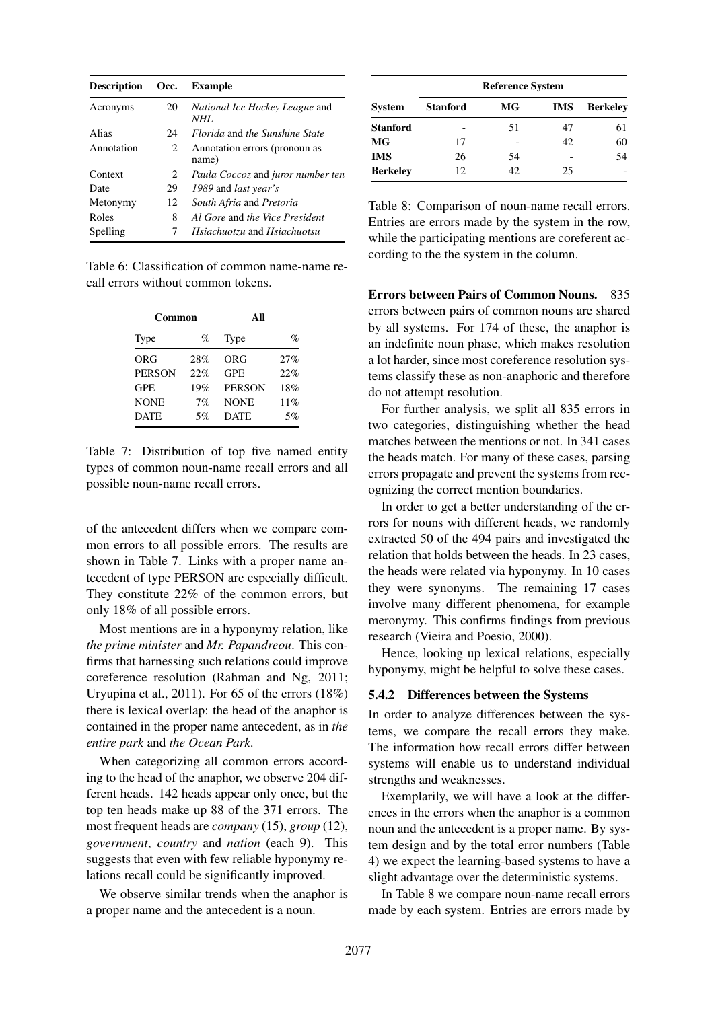| <b>Description</b> | Occ. | Example                                       |
|--------------------|------|-----------------------------------------------|
| Acronyms           | 20   | <i>National Ice Hockey League and</i><br>NHI. |
| Alias              | 24   | <i>Florida</i> and the Sunshine State         |
| Annotation         | 2    | Annotation errors (pronoun as<br>name)        |
| Context            | 2    | Paula Coccoz and juror number ten             |
| Date               | 29   | 1989 and <i>last</i> year's                   |
| Metonymy           | 12   | South Afria and Pretoria                      |
| Roles              | 8    | Al Gore and the Vice President                |
| Spelling           | 7    | <i>Hsiachuotzu</i> and <i>Hsiachuotsu</i>     |

Table 6: Classification of common name-name recall errors without common tokens.

| Common        |     | All               |     |  |
|---------------|-----|-------------------|-----|--|
| Type          | %   | Type              | %   |  |
| <b>ORG</b>    | 28% | ORG               | 27% |  |
| <b>PERSON</b> | 22% | <b>GPE</b>        | 22% |  |
| <b>GPE</b>    | 19% | <b>PERSON</b>     | 18% |  |
| <b>NONE</b>   | 7%  | <b>NONE</b>       | 11% |  |
| <b>DATE</b>   | 5%  | 5%<br><b>DATE</b> |     |  |

Table 7: Distribution of top five named entity types of common noun-name recall errors and all possible noun-name recall errors.

of the antecedent differs when we compare common errors to all possible errors. The results are shown in Table 7. Links with a proper name antecedent of type PERSON are especially difficult. They constitute 22% of the common errors, but only 18% of all possible errors.

Most mentions are in a hyponymy relation, like *the prime minister* and *Mr. Papandreou*. This confirms that harnessing such relations could improve coreference resolution (Rahman and Ng, 2011; Uryupina et al., 2011). For 65 of the errors (18%) there is lexical overlap: the head of the anaphor is contained in the proper name antecedent, as in *the entire park* and *the Ocean Park*.

When categorizing all common errors according to the head of the anaphor, we observe 204 different heads. 142 heads appear only once, but the top ten heads make up 88 of the 371 errors. The most frequent heads are *company* (15), *group* (12), *government*, *country* and *nation* (each 9). This suggests that even with few reliable hyponymy relations recall could be significantly improved.

We observe similar trends when the anaphor is a proper name and the antecedent is a noun.

|                 | <b>Reference System</b> |     |            |                 |  |  |
|-----------------|-------------------------|-----|------------|-----------------|--|--|
| <b>System</b>   | <b>Stanford</b>         | MG  | <b>IMS</b> | <b>Berkelev</b> |  |  |
| <b>Stanford</b> |                         | 51  | 47         | 61              |  |  |
| MG              | 17                      |     | 42         | 60              |  |  |
| <b>IMS</b>      | 26                      | 54  |            | 54              |  |  |
| <b>Berkeley</b> | 12                      | 42. | 25         |                 |  |  |

Table 8: Comparison of noun-name recall errors. Entries are errors made by the system in the row, while the participating mentions are coreferent according to the the system in the column.

Errors between Pairs of Common Nouns. 835 errors between pairs of common nouns are shared by all systems. For 174 of these, the anaphor is an indefinite noun phase, which makes resolution a lot harder, since most coreference resolution systems classify these as non-anaphoric and therefore do not attempt resolution.

For further analysis, we split all 835 errors in two categories, distinguishing whether the head matches between the mentions or not. In 341 cases the heads match. For many of these cases, parsing errors propagate and prevent the systems from recognizing the correct mention boundaries.

In order to get a better understanding of the errors for nouns with different heads, we randomly extracted 50 of the 494 pairs and investigated the relation that holds between the heads. In 23 cases, the heads were related via hyponymy. In 10 cases they were synonyms. The remaining 17 cases involve many different phenomena, for example meronymy. This confirms findings from previous research (Vieira and Poesio, 2000).

Hence, looking up lexical relations, especially hyponymy, might be helpful to solve these cases.

## 5.4.2 Differences between the Systems

In order to analyze differences between the systems, we compare the recall errors they make. The information how recall errors differ between systems will enable us to understand individual strengths and weaknesses.

Exemplarily, we will have a look at the differences in the errors when the anaphor is a common noun and the antecedent is a proper name. By system design and by the total error numbers (Table 4) we expect the learning-based systems to have a slight advantage over the deterministic systems.

In Table 8 we compare noun-name recall errors made by each system. Entries are errors made by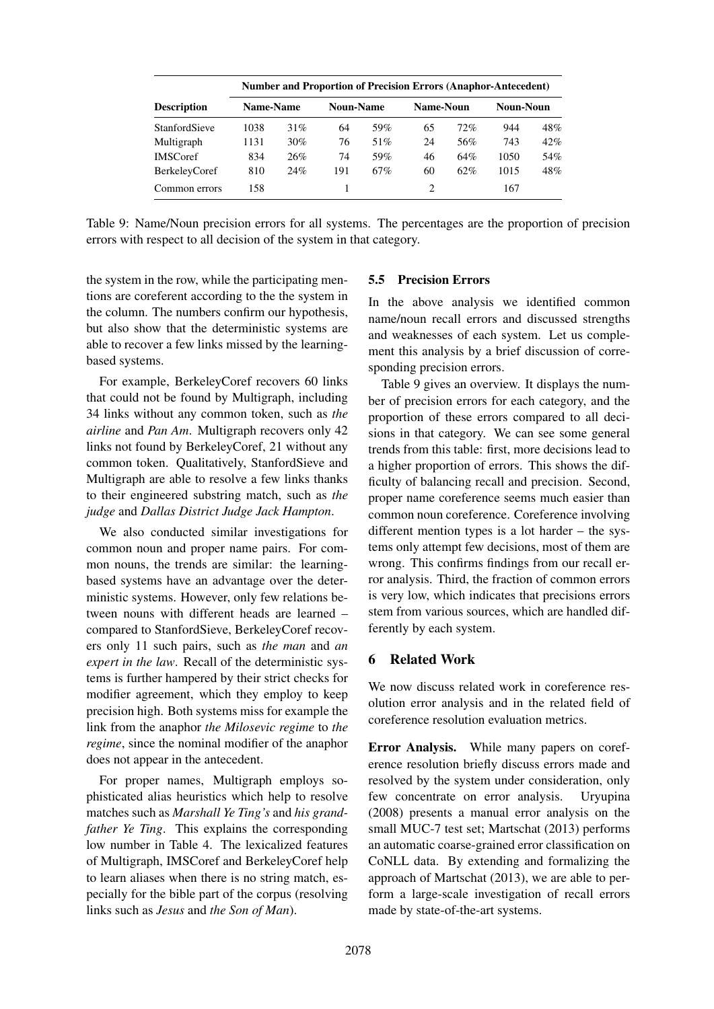|                      |           |     |                  |     |           |     | <b>Number and Proportion of Precision Errors (Anaphor-Antecedent)</b> |     |
|----------------------|-----------|-----|------------------|-----|-----------|-----|-----------------------------------------------------------------------|-----|
| <b>Description</b>   | Name-Name |     | <b>Noun-Name</b> |     | Name-Noun |     | Noun-Noun                                                             |     |
| <b>StanfordSieve</b> | 1038      | 31% | 64               | 59% | 65        | 72% | 944                                                                   | 48% |
| Multigraph           | 1131      | 30% | 76               | 51% | 24        | 56% | 743                                                                   | 42% |
| <b>IMSCoref</b>      | 834       | 26% | 74               | 59% | 46        | 64% | 1050                                                                  | 54% |
| <b>BerkeleyCoref</b> | 810       | 24% | 191              | 67% | 60        | 62% | 1015                                                                  | 48% |
| Common errors        | 158       |     |                  |     |           |     | 167                                                                   |     |

Table 9: Name/Noun precision errors for all systems. The percentages are the proportion of precision errors with respect to all decision of the system in that category.

the system in the row, while the participating mentions are coreferent according to the the system in the column. The numbers confirm our hypothesis, but also show that the deterministic systems are able to recover a few links missed by the learningbased systems.

For example, BerkeleyCoref recovers 60 links that could not be found by Multigraph, including 34 links without any common token, such as *the airline* and *Pan Am*. Multigraph recovers only 42 links not found by BerkeleyCoref, 21 without any common token. Qualitatively, StanfordSieve and Multigraph are able to resolve a few links thanks to their engineered substring match, such as *the judge* and *Dallas District Judge Jack Hampton*.

We also conducted similar investigations for common noun and proper name pairs. For common nouns, the trends are similar: the learningbased systems have an advantage over the deterministic systems. However, only few relations between nouns with different heads are learned – compared to StanfordSieve, BerkeleyCoref recovers only 11 such pairs, such as *the man* and *an expert in the law*. Recall of the deterministic systems is further hampered by their strict checks for modifier agreement, which they employ to keep precision high. Both systems miss for example the link from the anaphor *the Milosevic regime* to *the regime*, since the nominal modifier of the anaphor does not appear in the antecedent.

For proper names, Multigraph employs sophisticated alias heuristics which help to resolve matches such as *Marshall Ye Ting's* and *his grandfather Ye Ting*. This explains the corresponding low number in Table 4. The lexicalized features of Multigraph, IMSCoref and BerkeleyCoref help to learn aliases when there is no string match, especially for the bible part of the corpus (resolving links such as *Jesus* and *the Son of Man*).

#### 5.5 Precision Errors

In the above analysis we identified common name/noun recall errors and discussed strengths and weaknesses of each system. Let us complement this analysis by a brief discussion of corresponding precision errors.

Table 9 gives an overview. It displays the number of precision errors for each category, and the proportion of these errors compared to all decisions in that category. We can see some general trends from this table: first, more decisions lead to a higher proportion of errors. This shows the difficulty of balancing recall and precision. Second, proper name coreference seems much easier than common noun coreference. Coreference involving different mention types is a lot harder – the systems only attempt few decisions, most of them are wrong. This confirms findings from our recall error analysis. Third, the fraction of common errors is very low, which indicates that precisions errors stem from various sources, which are handled differently by each system.

#### 6 Related Work

We now discuss related work in coreference resolution error analysis and in the related field of coreference resolution evaluation metrics.

Error Analysis. While many papers on coreference resolution briefly discuss errors made and resolved by the system under consideration, only few concentrate on error analysis. Uryupina (2008) presents a manual error analysis on the small MUC-7 test set; Martschat (2013) performs an automatic coarse-grained error classification on CoNLL data. By extending and formalizing the approach of Martschat (2013), we are able to perform a large-scale investigation of recall errors made by state-of-the-art systems.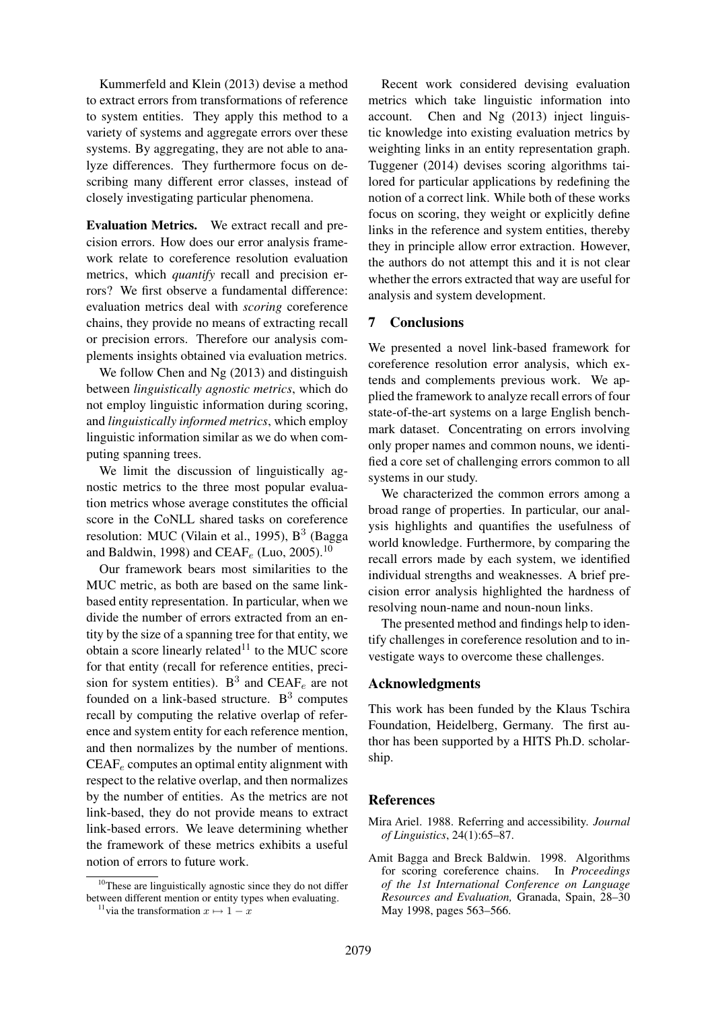Kummerfeld and Klein (2013) devise a method to extract errors from transformations of reference to system entities. They apply this method to a variety of systems and aggregate errors over these systems. By aggregating, they are not able to analyze differences. They furthermore focus on describing many different error classes, instead of closely investigating particular phenomena.

Evaluation Metrics. We extract recall and precision errors. How does our error analysis framework relate to coreference resolution evaluation metrics, which *quantify* recall and precision errors? We first observe a fundamental difference: evaluation metrics deal with *scoring* coreference chains, they provide no means of extracting recall or precision errors. Therefore our analysis complements insights obtained via evaluation metrics.

We follow Chen and Ng (2013) and distinguish between *linguistically agnostic metrics*, which do not employ linguistic information during scoring, and *linguistically informed metrics*, which employ linguistic information similar as we do when computing spanning trees.

We limit the discussion of linguistically agnostic metrics to the three most popular evaluation metrics whose average constitutes the official score in the CoNLL shared tasks on coreference resolution: MUC (Vilain et al., 1995),  $B^3$  (Bagga and Baldwin, 1998) and CEAF<sub>e</sub> (Luo, 2005).<sup>10</sup>

Our framework bears most similarities to the MUC metric, as both are based on the same linkbased entity representation. In particular, when we divide the number of errors extracted from an entity by the size of a spanning tree for that entity, we obtain a score linearly related $11$  to the MUC score for that entity (recall for reference entities, precision for system entities).  $B^3$  and CEAF<sub>e</sub> are not founded on a link-based structure.  $B<sup>3</sup>$  computes recall by computing the relative overlap of reference and system entity for each reference mention, and then normalizes by the number of mentions.  $CEAF_e$  computes an optimal entity alignment with respect to the relative overlap, and then normalizes by the number of entities. As the metrics are not link-based, they do not provide means to extract link-based errors. We leave determining whether the framework of these metrics exhibits a useful notion of errors to future work.

Recent work considered devising evaluation metrics which take linguistic information into account. Chen and Ng (2013) inject linguistic knowledge into existing evaluation metrics by weighting links in an entity representation graph. Tuggener (2014) devises scoring algorithms tailored for particular applications by redefining the notion of a correct link. While both of these works focus on scoring, they weight or explicitly define links in the reference and system entities, thereby they in principle allow error extraction. However, the authors do not attempt this and it is not clear whether the errors extracted that way are useful for analysis and system development.

## 7 Conclusions

We presented a novel link-based framework for coreference resolution error analysis, which extends and complements previous work. We applied the framework to analyze recall errors of four state-of-the-art systems on a large English benchmark dataset. Concentrating on errors involving only proper names and common nouns, we identified a core set of challenging errors common to all systems in our study.

We characterized the common errors among a broad range of properties. In particular, our analysis highlights and quantifies the usefulness of world knowledge. Furthermore, by comparing the recall errors made by each system, we identified individual strengths and weaknesses. A brief precision error analysis highlighted the hardness of resolving noun-name and noun-noun links.

The presented method and findings help to identify challenges in coreference resolution and to investigate ways to overcome these challenges.

## Acknowledgments

This work has been funded by the Klaus Tschira Foundation, Heidelberg, Germany. The first author has been supported by a HITS Ph.D. scholarship.

## **References**

- Mira Ariel. 1988. Referring and accessibility. *Journal of Linguistics*, 24(1):65–87.
- Amit Bagga and Breck Baldwin. 1998. Algorithms for scoring coreference chains. In *Proceedings of the 1st International Conference on Language Resources and Evaluation,* Granada, Spain, 28–30 May 1998, pages 563–566.

 $10$ <sup>10</sup>These are linguistically agnostic since they do not differ between different mention or entity types when evaluating.

<sup>&</sup>lt;sup>11</sup>via the transformation  $x \mapsto 1 - x$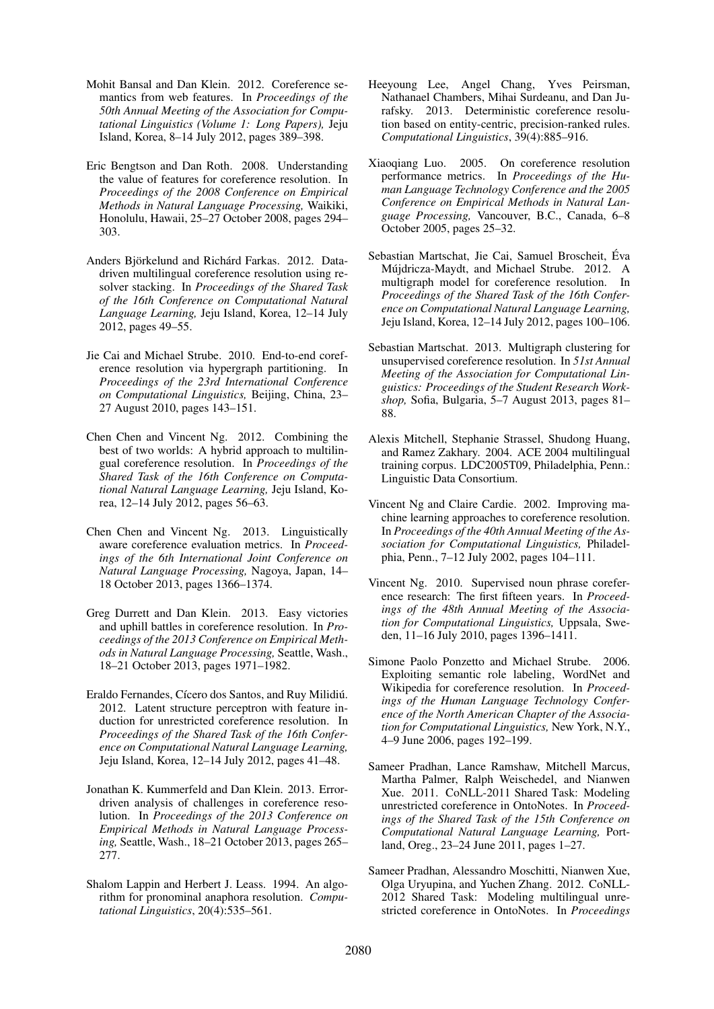- Mohit Bansal and Dan Klein. 2012. Coreference semantics from web features. In *Proceedings of the 50th Annual Meeting of the Association for Computational Linguistics (Volume 1: Long Papers),* Jeju Island, Korea, 8–14 July 2012, pages 389–398.
- Eric Bengtson and Dan Roth. 2008. Understanding the value of features for coreference resolution. In *Proceedings of the 2008 Conference on Empirical Methods in Natural Language Processing,* Waikiki, Honolulu, Hawaii, 25–27 October 2008, pages 294– 303.
- Anders Björkelund and Richárd Farkas. 2012. Datadriven multilingual coreference resolution using resolver stacking. In *Proceedings of the Shared Task of the 16th Conference on Computational Natural Language Learning,* Jeju Island, Korea, 12–14 July 2012, pages 49–55.
- Jie Cai and Michael Strube. 2010. End-to-end coreference resolution via hypergraph partitioning. In *Proceedings of the 23rd International Conference on Computational Linguistics,* Beijing, China, 23– 27 August 2010, pages 143–151.
- Chen Chen and Vincent Ng. 2012. Combining the best of two worlds: A hybrid approach to multilingual coreference resolution. In *Proceedings of the Shared Task of the 16th Conference on Computational Natural Language Learning,* Jeju Island, Korea, 12–14 July 2012, pages 56–63.
- Chen Chen and Vincent Ng. 2013. Linguistically aware coreference evaluation metrics. In *Proceedings of the 6th International Joint Conference on Natural Language Processing,* Nagoya, Japan, 14– 18 October 2013, pages 1366–1374.
- Greg Durrett and Dan Klein. 2013. Easy victories and uphill battles in coreference resolution. In *Proceedings of the 2013 Conference on Empirical Methods in Natural Language Processing,* Seattle, Wash., 18–21 October 2013, pages 1971–1982.
- Eraldo Fernandes, Cícero dos Santos, and Ruy Milidiú. 2012. Latent structure perceptron with feature induction for unrestricted coreference resolution. In *Proceedings of the Shared Task of the 16th Conference on Computational Natural Language Learning,* Jeju Island, Korea, 12–14 July 2012, pages 41–48.
- Jonathan K. Kummerfeld and Dan Klein. 2013. Errordriven analysis of challenges in coreference resolution. In *Proceedings of the 2013 Conference on Empirical Methods in Natural Language Processing,* Seattle, Wash., 18–21 October 2013, pages 265– 277.
- Shalom Lappin and Herbert J. Leass. 1994. An algorithm for pronominal anaphora resolution. *Computational Linguistics*, 20(4):535–561.
- Heeyoung Lee, Angel Chang, Yves Peirsman, Nathanael Chambers, Mihai Surdeanu, and Dan Jurafsky. 2013. Deterministic coreference resolution based on entity-centric, precision-ranked rules. *Computational Linguistics*, 39(4):885–916.
- Xiaoqiang Luo. 2005. On coreference resolution performance metrics. In *Proceedings of the Human Language Technology Conference and the 2005 Conference on Empirical Methods in Natural Language Processing,* Vancouver, B.C., Canada, 6–8 October 2005, pages 25–32.
- Sebastian Martschat, Jie Cai, Samuel Broscheit, Eva ´ Mújdricza-Maydt, and Michael Strube. 2012. A multigraph model for coreference resolution. In *Proceedings of the Shared Task of the 16th Conference on Computational Natural Language Learning,* Jeju Island, Korea, 12–14 July 2012, pages 100–106.
- Sebastian Martschat. 2013. Multigraph clustering for unsupervised coreference resolution. In *51st Annual Meeting of the Association for Computational Linguistics: Proceedings of the Student Research Workshop,* Sofia, Bulgaria, 5–7 August 2013, pages 81– 88.
- Alexis Mitchell, Stephanie Strassel, Shudong Huang, and Ramez Zakhary. 2004. ACE 2004 multilingual training corpus. LDC2005T09, Philadelphia, Penn.: Linguistic Data Consortium.
- Vincent Ng and Claire Cardie. 2002. Improving machine learning approaches to coreference resolution. In *Proceedings of the 40th Annual Meeting of the Association for Computational Linguistics,* Philadelphia, Penn., 7–12 July 2002, pages 104–111.
- Vincent Ng. 2010. Supervised noun phrase coreference research: The first fifteen years. In *Proceedings of the 48th Annual Meeting of the Association for Computational Linguistics,* Uppsala, Sweden, 11–16 July 2010, pages 1396–1411.
- Simone Paolo Ponzetto and Michael Strube. 2006. Exploiting semantic role labeling, WordNet and Wikipedia for coreference resolution. In *Proceedings of the Human Language Technology Conference of the North American Chapter of the Association for Computational Linguistics,* New York, N.Y., 4–9 June 2006, pages 192–199.
- Sameer Pradhan, Lance Ramshaw, Mitchell Marcus, Martha Palmer, Ralph Weischedel, and Nianwen Xue. 2011. CoNLL-2011 Shared Task: Modeling unrestricted coreference in OntoNotes. In *Proceedings of the Shared Task of the 15th Conference on Computational Natural Language Learning,* Portland, Oreg., 23–24 June 2011, pages 1–27.
- Sameer Pradhan, Alessandro Moschitti, Nianwen Xue, Olga Uryupina, and Yuchen Zhang. 2012. CoNLL-2012 Shared Task: Modeling multilingual unrestricted coreference in OntoNotes. In *Proceedings*